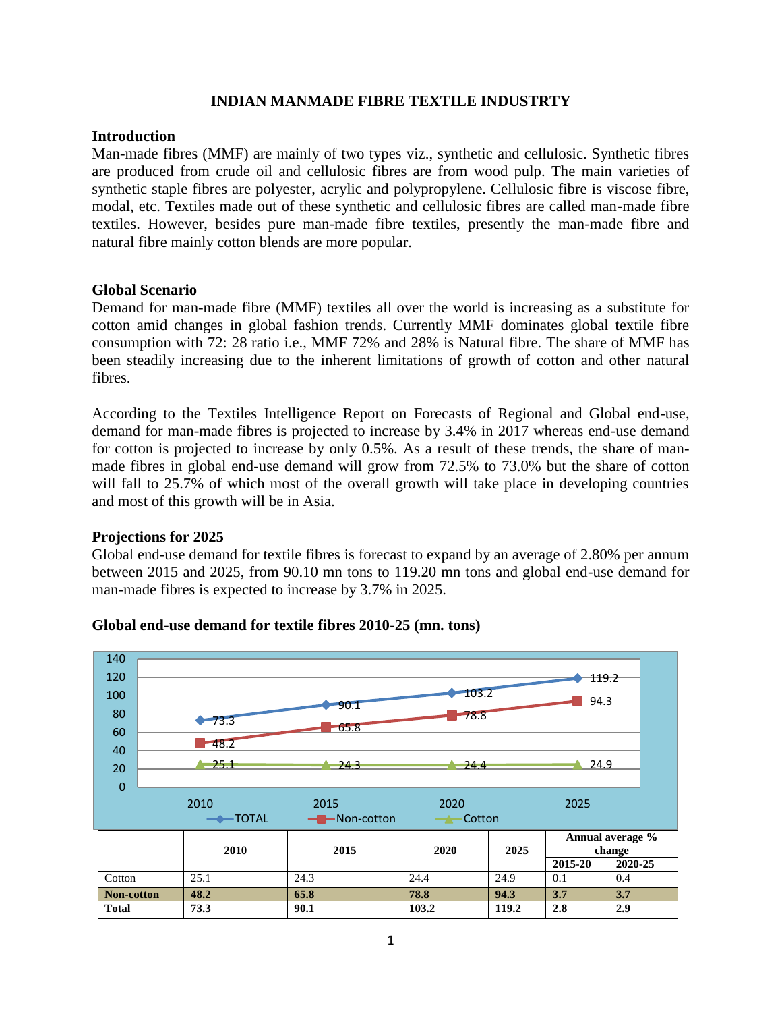#### **INDIAN MANMADE FIBRE TEXTILE INDUSTRTY**

#### **Introduction**

Man-made fibres (MMF) are mainly of two types viz., synthetic and cellulosic. Synthetic fibres are produced from crude oil and cellulosic fibres are from wood pulp. The main varieties of synthetic staple fibres are polyester, acrylic and polypropylene. Cellulosic fibre is viscose fibre, modal, etc. Textiles made out of these synthetic and cellulosic fibres are called man-made fibre textiles. However, besides pure man-made fibre textiles, presently the man-made fibre and natural fibre mainly cotton blends are more popular.

#### **Global Scenario**

Demand for man-made fibre (MMF) textiles all over the world is increasing as a substitute for cotton amid changes in global fashion trends. Currently MMF dominates global textile fibre consumption with 72: 28 ratio i.e., MMF 72% and 28% is Natural fibre. The share of MMF has been steadily increasing due to the inherent limitations of growth of cotton and other natural fibres.

According to the Textiles Intelligence Report on Forecasts of Regional and Global end-use, demand for man-made fibres is projected to increase by 3.4% in 2017 whereas end-use demand for cotton is projected to increase by only 0.5%. As a result of these trends, the share of manmade fibres in global end-use demand will grow from 72.5% to 73.0% but the share of cotton will fall to 25.7% of which most of the overall growth will take place in developing countries and most of this growth will be in Asia.

#### **Projections for 2025**

Global end-use demand for textile fibres is forecast to expand by an average of 2.80% per annum between 2015 and 2025, from 90.10 mn tons to 119.20 mn tons and global end-use demand for man-made fibres is expected to increase by 3.7% in 2025.



#### **Global end-use demand for textile fibres 2010-25 (mn. tons)**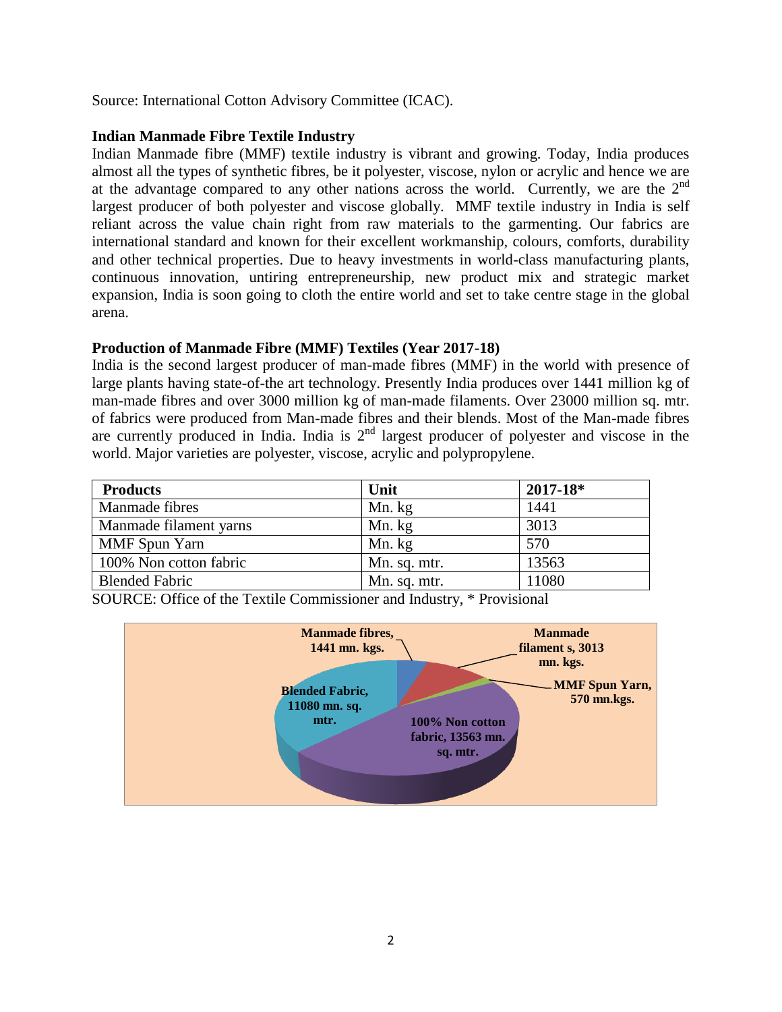Source: International Cotton Advisory Committee (ICAC).

#### **Indian Manmade Fibre Textile Industry**

Indian Manmade fibre (MMF) textile industry is vibrant and growing. Today, India produces almost all the types of synthetic fibres, be it polyester, viscose, nylon or acrylic and hence we are at the advantage compared to any other nations across the world. Currently, we are the  $2<sup>nd</sup>$ largest producer of both polyester and viscose globally. MMF textile industry in India is self reliant across the value chain right from raw materials to the garmenting. Our fabrics are international standard and known for their excellent workmanship, colours, comforts, durability and other technical properties. Due to heavy investments in world-class manufacturing plants, continuous innovation, untiring entrepreneurship, new product mix and strategic market expansion, India is soon going to cloth the entire world and set to take centre stage in the global arena.

### **Production of Manmade Fibre (MMF) Textiles (Year 2017-18)**

India is the second largest producer of man-made fibres (MMF) in the world with presence of large plants having state-of-the art technology. Presently India produces over 1441 million kg of man-made fibres and over 3000 million kg of man-made filaments. Over 23000 million sq. mtr. of fabrics were produced from Man-made fibres and their blends. Most of the Man-made fibres are currently produced in India. India is 2<sup>nd</sup> largest producer of polyester and viscose in the world. Major varieties are polyester, viscose, acrylic and polypropylene.

| <b>Products</b>        | Unit         | $2017 - 18*$ |
|------------------------|--------------|--------------|
| Manmade fibres         | Mn. kg       | 1441         |
| Manmade filament yarns | Mn. kg       | 3013         |
| MMF Spun Yarn          | Mn. kg       | 570          |
| 100% Non cotton fabric | Mn. sq. mtr. | 13563        |
| <b>Blended Fabric</b>  | Mn. sq. mtr. | 11080        |

SOURCE: Office of the Textile Commissioner and Industry, \* Provisional

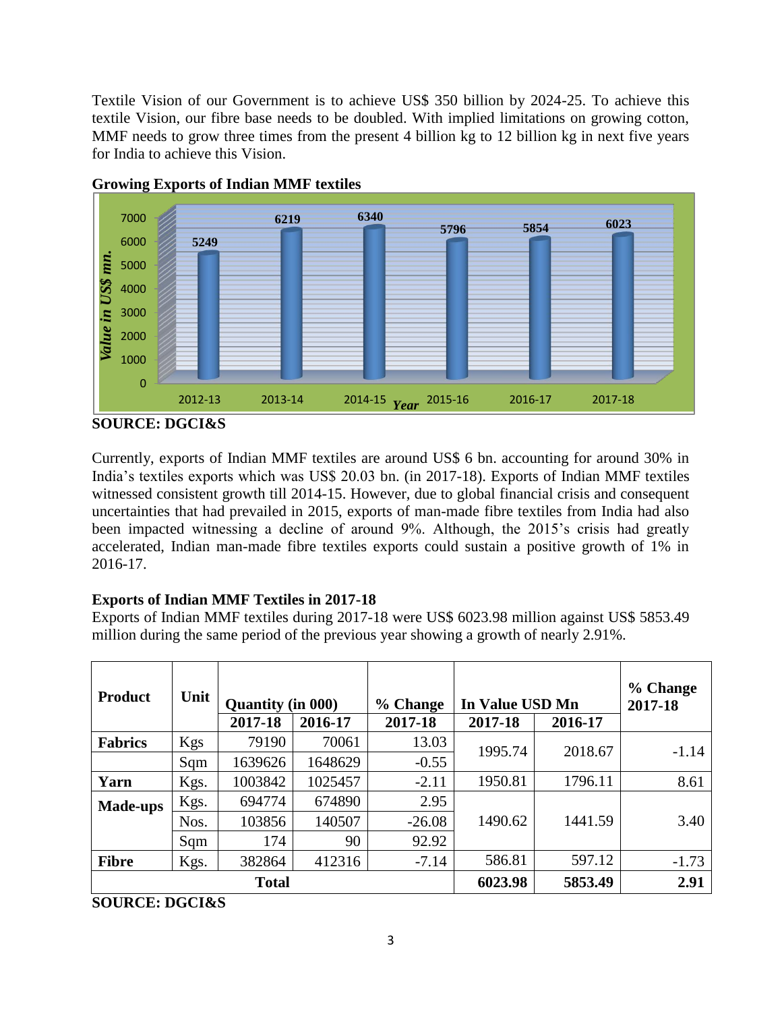Textile Vision of our Government is to achieve US\$ 350 billion by 2024-25. To achieve this textile Vision, our fibre base needs to be doubled. With implied limitations on growing cotton, MMF needs to grow three times from the present 4 billion kg to 12 billion kg in next five years for India to achieve this Vision.





**SOURCE: DGCI&S**

Currently, exports of Indian MMF textiles are around US\$ 6 bn. accounting for around 30% in India's textiles exports which was US\$ 20.03 bn. (in 2017-18). Exports of Indian MMF textiles witnessed consistent growth till 2014-15. However, due to global financial crisis and consequent uncertainties that had prevailed in 2015, exports of man-made fibre textiles from India had also been impacted witnessing a decline of around 9%. Although, the 2015's crisis had greatly accelerated, Indian man-made fibre textiles exports could sustain a positive growth of 1% in 2016-17.

# **Exports of Indian MMF Textiles in 2017-18**

Exports of Indian MMF textiles during 2017-18 were US\$ 6023.98 million against US\$ 5853.49 million during the same period of the previous year showing a growth of nearly 2.91%.

| <b>Product</b>  | Unit | <b>Quantity (in 000)</b> |         | % Change | In Value USD Mn |         | % Change<br>2017-18 |
|-----------------|------|--------------------------|---------|----------|-----------------|---------|---------------------|
|                 |      | 2017-18                  | 2016-17 | 2017-18  | 2017-18         | 2016-17 |                     |
| <b>Fabrics</b>  | Kgs  | 79190                    | 70061   | 13.03    | 1995.74         | 2018.67 | $-1.14$             |
|                 | Sqm  | 1639626                  | 1648629 | $-0.55$  |                 |         |                     |
| Yarn            | Kgs. | 1003842                  | 1025457 | $-2.11$  | 1950.81         | 1796.11 | 8.61                |
| <b>Made-ups</b> | Kgs. | 694774                   | 674890  | 2.95     |                 |         |                     |
|                 | Nos. | 103856                   | 140507  | $-26.08$ | 1490.62         | 1441.59 | 3.40                |
|                 | Sqm  | 174                      | 90      | 92.92    |                 |         |                     |
| <b>Fibre</b>    | Kgs. | 382864                   | 412316  | $-7.14$  | 586.81          | 597.12  | $-1.73$             |
|                 |      | <b>Total</b>             |         |          | 6023.98         | 5853.49 | 2.91                |

**SOURCE: DGCI&S**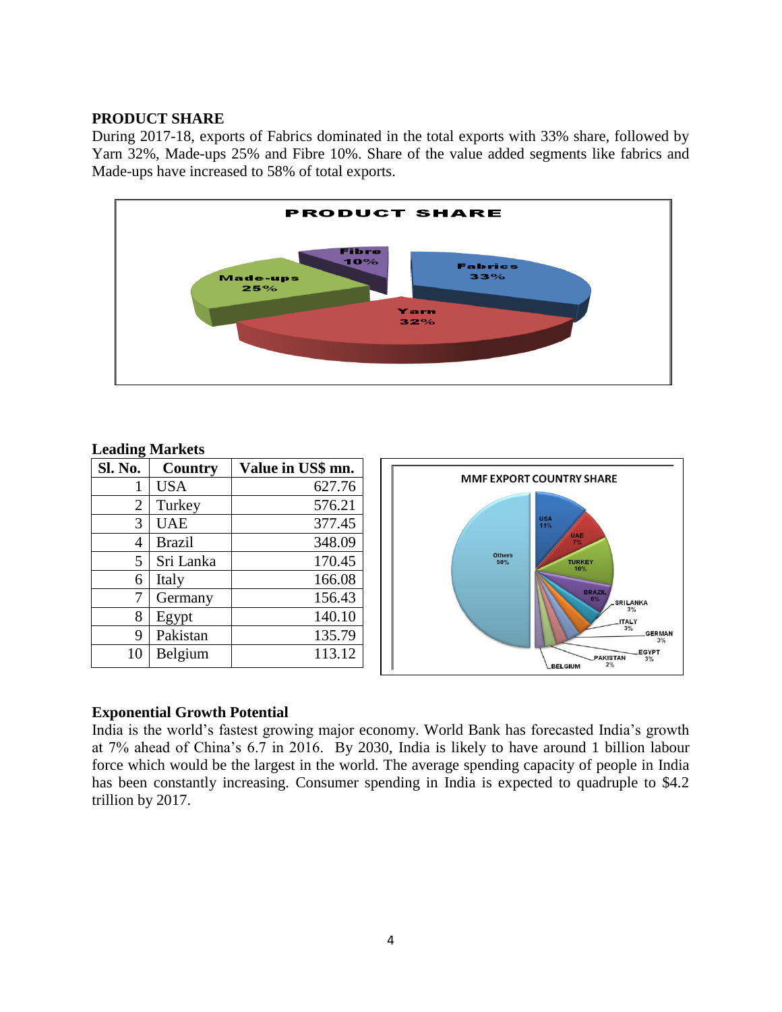#### **PRODUCT SHARE**

During 2017-18, exports of Fabrics dominated in the total exports with 33% share, followed by Yarn 32%, Made-ups 25% and Fibre 10%. Share of the value added segments like fabrics and Made-ups have increased to 58% of total exports.



#### **Leading Markets**

| $\bm{\omega}$<br><b>Sl. No.</b> | Country       | Value in US\$ mn. |                                                               |
|---------------------------------|---------------|-------------------|---------------------------------------------------------------|
|                                 | <b>USA</b>    | 627.76            | <b>MMF EXPORT COUNTRY SHARE</b>                               |
| $\overline{2}$                  | Turkey        | 576.21            |                                                               |
| 3                               | UAE           | 377.45            | <b>USA</b><br>11%                                             |
| $\overline{4}$                  | <b>Brazil</b> | 348.09            | UAE<br>$7\%$                                                  |
| 5                               | Sri Lanka     | 170.45            | <b>Others</b><br><b>TURKEY</b><br>50%<br>10%                  |
| 6                               | Italy         | 166.08            |                                                               |
| 7                               | Germany       | 156.43            | <b>BRAZIL</b><br>6%<br><b>SRILANKA</b>                        |
| 8                               | Egypt         | 140.10            | 3%<br><b>ITALY</b>                                            |
| 9                               | Pakistan      | 135.79            | 3%<br><b>GERMAN</b><br>3%                                     |
| 10                              | Belgium       | 113.12            | <b>EGYPT</b><br><b>PAKISTAN</b><br>3%<br>2%<br><b>BELGIUM</b> |

#### **Exponential Growth Potential**

India is the world's fastest growing major economy. World Bank has forecasted India's growth at 7% ahead of China's 6.7 in 2016. By 2030, India is likely to have around 1 billion labour force which would be the largest in the world. The average spending capacity of people in India has been constantly increasing. Consumer spending in India is expected to quadruple to \$4.2 trillion by 2017.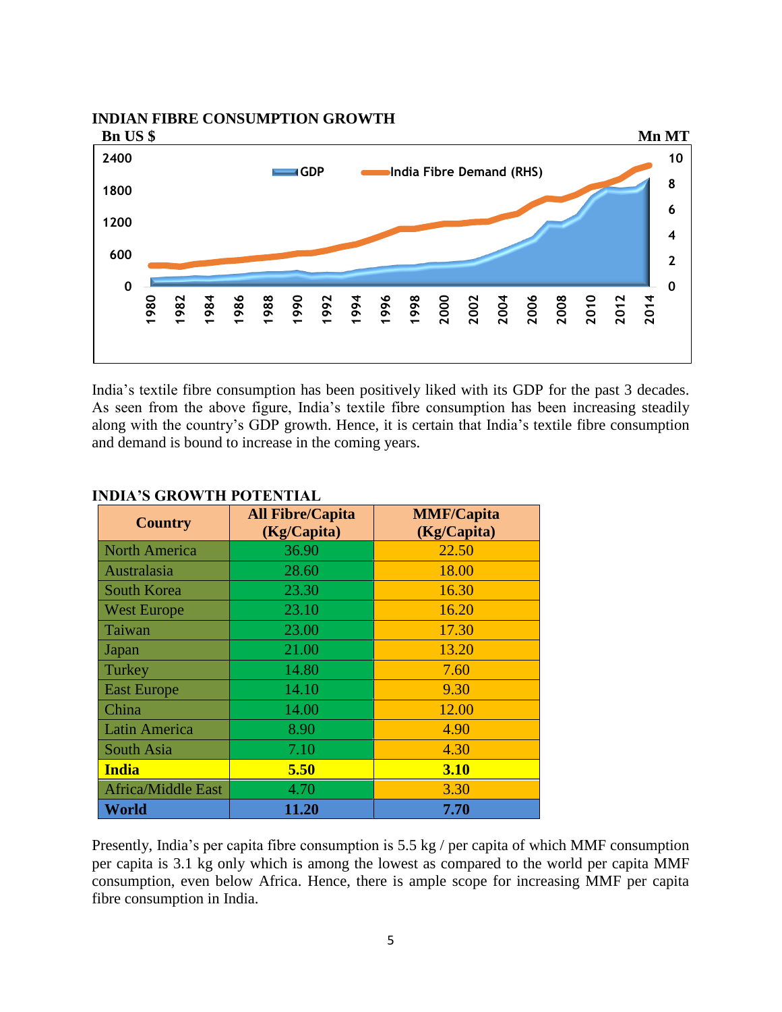**INDIAN FIBRE CONSUMPTION GROWTH**



India's textile fibre consumption has been positively liked with its GDP for the past 3 decades. As seen from the above figure, India's textile fibre consumption has been increasing steadily along with the country's GDP growth. Hence, it is certain that India's textile fibre consumption and demand is bound to increase in the coming years.

| <b>Country</b>            | <b>All Fibre/Capita</b><br>(Kg/Capita) | <b>MMF/Capita</b><br>(Kg/Capita) |
|---------------------------|----------------------------------------|----------------------------------|
| <b>North America</b>      | 36.90                                  | 22.50                            |
| Australasia               | 28.60                                  | 18.00                            |
| South Korea               | 23.30                                  | 16.30                            |
| <b>West Europe</b>        | 23.10                                  | 16.20                            |
| Taiwan                    | 23.00                                  | 17.30                            |
| Japan                     | 21.00                                  | 13.20                            |
| Turkey                    | 14.80                                  | 7.60                             |
| <b>East Europe</b>        | 14.10                                  | 9.30                             |
| China                     | 14.00                                  | 12.00                            |
| Latin America             | 8.90                                   | 4.90                             |
| South Asia                | 7.10                                   | 4.30                             |
| <b>India</b>              | 5.50                                   | <b>3.10</b>                      |
| <b>Africa/Middle East</b> | 4.70                                   | 3.30                             |
| World                     | 11.20                                  | 7.70                             |

# **INDIA'S GROWTH POTENTIAL**

Presently, India's per capita fibre consumption is 5.5 kg / per capita of which MMF consumption per capita is 3.1 kg only which is among the lowest as compared to the world per capita MMF consumption, even below Africa. Hence, there is ample scope for increasing MMF per capita fibre consumption in India.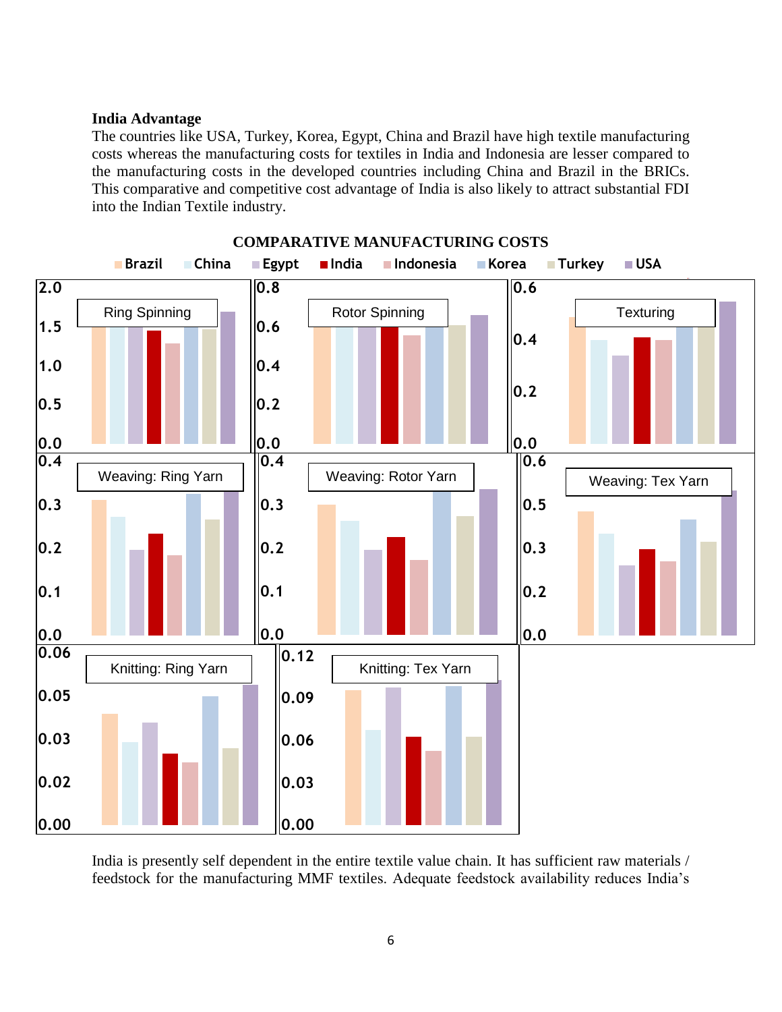#### **India Advantage**

The countries like USA, Turkey, Korea, Egypt, China and Brazil have high textile manufacturing costs whereas the manufacturing costs for textiles in India and Indonesia are lesser compared to the manufacturing costs in the developed countries including China and Brazil in the BRICs. This comparative and competitive cost advantage of India is also likely to attract substantial FDI into the Indian Textile industry.



**COMPARATIVE MANUFACTURING COSTS**

India is presently self dependent in the entire textile value chain. It has sufficient raw materials / feedstock for the manufacturing MMF textiles. Adequate feedstock availability reduces India's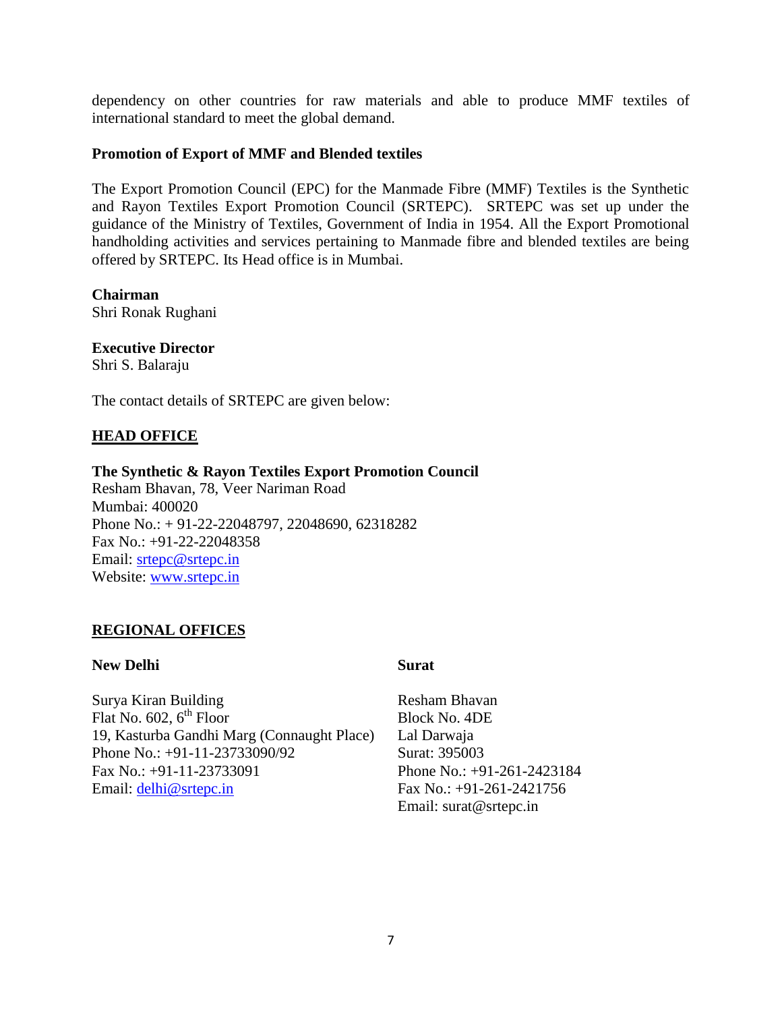dependency on other countries for raw materials and able to produce MMF textiles of international standard to meet the global demand.

#### **Promotion of Export of MMF and Blended textiles**

The Export Promotion Council (EPC) for the Manmade Fibre (MMF) Textiles is the Synthetic and Rayon Textiles Export Promotion Council (SRTEPC). SRTEPC was set up under the guidance of the Ministry of Textiles, Government of India in 1954. All the Export Promotional handholding activities and services pertaining to Manmade fibre and blended textiles are being offered by SRTEPC. Its Head office is in Mumbai.

**Chairman**  Shri Ronak Rughani

# **Executive Director**

Shri S. Balaraju

The contact details of SRTEPC are given below:

# **HEAD OFFICE**

# **The Synthetic & Rayon Textiles Export Promotion Council**

Resham Bhavan, 78, Veer Nariman Road Mumbai: 400020 Phone No.: + 91-22-22048797, 22048690, 62318282 Fax No.: +91-22-22048358 Email: [srtepc@srtepc.in](mailto:srtepc@srtepc.in) Website: [www.srtepc.in](http://www.srtepc.in/)

#### **REGIONAL OFFICES**

#### **New Delhi Surat**

Surya Kiran Building Flat No.  $602, 6^{th}$  Floor 19, Kasturba Gandhi Marg (Connaught Place) Phone No.: +91-11-23733090/92 Fax No.: +91-11-23733091 Email: [delhi@srtepc.in](mailto:delhi@srtepc.in)

Resham Bhavan Block No. 4DE Lal Darwaja Surat: 395003 Phone No.: +91-261-2423184 Fax No.: +91-261-2421756 Email: surat@srtepc.in